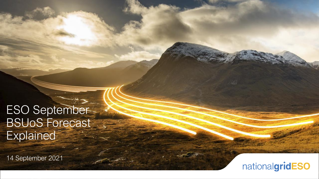# ESO September BSUoS Forecast **Explained**

14 September 2021